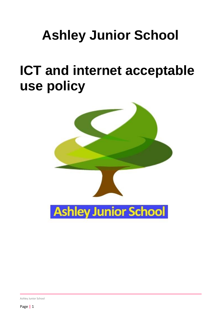# **Ashley Junior School**

# **ICT and internet acceptable use policy**



Ashley Junior School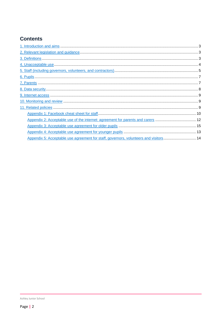# **Contents**

| Appendix 5: Acceptable use agreement for staff, governors, volunteers and visitors 14 |  |
|---------------------------------------------------------------------------------------|--|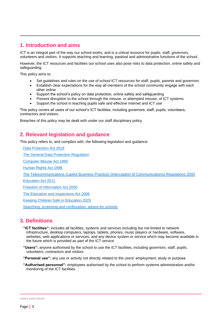# <span id="page-2-0"></span>**1. Introduction and aims**

ICT is an integral part of the way our school works, and is a critical resource for pupils, staff, governors, volunteers and visitors. It supports teaching and learning, pastoral and administrative functions of the school.

However, the ICT resources and facilities our school uses also pose risks to data protection, online safety and safeguarding.

This policy aims to:

- Set guidelines and rules on the use of school ICT resources for staff, pupils, parents and governors
- Establish clear expectations for the way all members of the school community engage with each other online
- Support the school's policy on data protection, online safety and safeguarding
- Prevent disruption to the school through the misuse, or attempted misuse, of ICT systems
- Support the school in teaching pupils safe and effective internet and ICT use

This policy covers all users of our school's ICT facilities, including governors, staff, pupils, volunteers, contractors and visitors.

Breaches of this policy may be dealt with under our staff disciplinary policy.

# <span id="page-2-1"></span>**2. Relevant legislation and guidance**

This policy refers to, and complies with, the following legislation and guidance:

[Data Protection Act 2018](http://www.legislation.gov.uk/ukpga/2018/12/contents/enacted) [The General Data Protection Regulation](https://eur-lex.europa.eu/legal-content/EN/TXT/HTML/?uri=CELEX:32016R0679) [Computer Misuse Act 1990](https://www.legislation.gov.uk/ukpga/1990/18/contents) [Human Rights Act 1998](https://www.legislation.gov.uk/ukpga/1998/42/contents) [The Telecommunications \(Lawful Business Practice\) \(Interception of Communications\) Regulations 2000](https://www.legislation.gov.uk/uksi/2000/2699/regulation/3/made) [Education Act 2011](http://www.legislation.gov.uk/ukpga/2011/21/section/2/enacted) [Freedom of Information Act 2000](https://www.legislation.gov.uk/ukpga/2000/36/contents) [The Education and Inspections Act 2006](https://www.legislation.gov.uk/ukpga/2006/40/part/7/chapter/1) [Keeping Children Safe in Education 2020](https://www.gov.uk/government/publications/keeping-children-safe-in-education--2)

[Searching, screening and confiscation: advice for schools](https://www.gov.uk/government/publications/searching-screening-and-confiscation)

# <span id="page-2-2"></span>**3. Definitions**

- **"ICT facilities":** includes all facilities, systems and services including but not limited to network infrastructure, desktop computers, laptops, tablets, phones, music players or hardware, software, websites, web applications or services, and any device system or service which may become available in the future which is provided as part of the ICT service
- **"Users":** anyone authorised by the school to use the ICT facilities, including governors, staff, pupils, volunteers, contractors and visitors

**"Personal use":** any use or activity not directly related to the users' employment, study or purpose

**"Authorised personnel":** employees authorised by the school to perform systems administration and/or monitoring of the ICT facilities

Ashley Junior School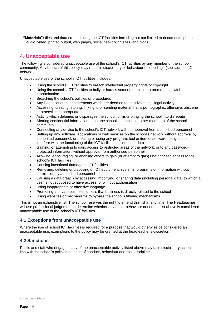**"Materials":** files and data created using the ICT facilities including but not limited to documents, photos, audio, video, printed output, web pages, social networking sites, and blogs

# <span id="page-3-0"></span>**4. Unacceptable use**

The following is considered unacceptable use of the school's ICT facilities by any member of the school community. Any breach of this policy may result in disciplinary or behaviour proceedings (see section 4.2 below).

Unacceptable use of the school's ICT facilities includes:

- Using the school's ICT facilities to breach intellectual property rights or copyright
- Using the school's ICT facilities to bully or harass someone else, or to promote unlawful discrimination
- Breaching the school's policies or procedures
- Any illegal conduct, or statements which are deemed to be advocating illegal activity
- Accessing, creating, storing, linking to or sending material that is pornographic, offensive, obscene or otherwise inappropriate
- Activity which defames or disparages the school, or risks bringing the school into disrepute
- Sharing confidential information about the school, its pupils, or other members of the school community
- Connecting any device to the school's ICT network without approval from authorised personnel
- Setting up any software, applications or web services on the school's network without approval by authorised personnel, or creating or using any program, tool or item of software designed to interfere with the functioning of the ICT facilities, accounts or data
- Gaining, or attempting to gain, access to restricted areas of the network, or to any passwordprotected information, without approval from authorised personnel
- Allowing, encouraging, or enabling others to gain (or attempt to gain) unauthorised access to the school's ICT facilities
- Causing intentional damage to ICT facilities
- Removing, deleting or disposing of ICT equipment, systems, programs or information without permission by authorised personnel
- Causing a data breach by accessing, modifying, or sharing data (including personal data) to which a user is not supposed to have access, or without authorisation
- Using inappropriate or offensive language
- Promoting a private business, unless that business is directly related to the school
- Using websites or mechanisms to bypass the school's filtering mechanisms

This is not an exhaustive list. The school reserves the right to amend this list at any time. The Headteacher will use professional judgement to determine whether any act or behaviour not on the list above is considered unacceptable use of the school's ICT facilities.

# **4.1 Exceptions from unacceptable use**

Where the use of school ICT facilities is required for a purpose that would otherwise be considered an unacceptable use, exemptions to the policy may be granted at the headteacher's discretion.

# **4.2 Sanctions**

Pupils and staff who engage in any of the unacceptable activity listed above may face disciplinary action in line with the school's policies on code of conduct, behaviour and staff discipline.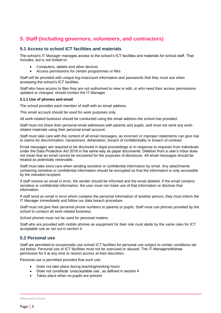# <span id="page-4-0"></span>**5. Staff (including governors, volunteers, and contractors)**

### **5.1 Access to school ICT facilities and materials**

The school's IT Manager manages access to the school's ICT facilities and materials for school staff. That includes, but is not limited to:

- Computers, tablets and other devices
- Access permissions for certain programmes or files

Staff will be provided with unique log-in/account information and passwords that they must use when accessing the school's ICT facilities.

Staff who have access to files they are not authorised to view or edit, or who need their access permissions updated or changed, should contact the IT Manager.

#### **5.1.1 Use of phones and email**

The school provides each member of staff with an email address.

This email account should be used for work purposes only.

All work-related business should be conducted using the email address the school has provided.

Staff must not share their personal email addresses with parents and pupils, and must not send any workrelated materials using their personal email account.

Staff must take care with the content of all email messages, as incorrect or improper statements can give rise to claims for discrimination, harassment, defamation, breach of confidentiality or breach of contract.

Email messages are required to be disclosed in legal proceedings or in response to requests from individuals under the Data Protection Act 2018 in the same way as paper documents. Deletion from a user's inbox does not mean that an email cannot be recovered for the purposes of disclosure. All email messages should be treated as potentially retrievable.

Staff must take extra care when sending sensitive or confidential information by email. Any attachments containing sensitive or confidential information should be encrypted so that the information is only accessible by the intended recipient.

If staff receive an email in error, the sender should be informed and the email deleted. If the email contains sensitive or confidential information, the user must not make use of that information or disclose that information.

If staff send an email in error which contains the personal information of another person, they must inform the IT Manager immediately and follow our data breach procedure.

Staff must not give their personal phone numbers to parents or pupils. Staff must use phones provided by the school to conduct all work-related business.

School phones must not be used for personal matters.

Staff who are provided with mobile phones as equipment for their role must abide by the same rules for ICT acceptable use as set out in section 4.

# **5.2 Personal use**

Staff are permitted to occasionally use school ICT facilities for personal use subject to certain conditions set out below. Personal use of ICT facilities must not be overused or abused. The IT Managerwithdraw permission for it at any time or restrict access at their discretion.

Personal use is permitted provided that such use:

- Does not take place during teaching/working hours
- Does not constitute 'unacceptable use', as defined in section 4
- Takes place when no pupils are present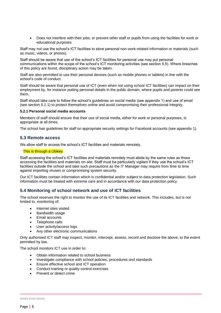• Does not interfere with their jobs, or prevent other staff or pupils from using the facilities for work or educational purposes

Staff may not use the school's ICT facilities to store personal non-work-related information or materials (such as music, videos, or photos).

Staff should be aware that use of the school's ICT facilities for personal use may put personal communications within the scope of the school's ICT monitoring activities (see section 5.5). Where breaches of this policy are found, disciplinary action may be taken.

Staff are also permitted to use their personal devices (such as mobile phones or tablets) in line with the school's code of conduct.

Staff should be aware that personal use of ICT (even when not using school ICT facilities) can impact on their employment by, for instance putting personal details in the public domain, where pupils and parents could see them.

Staff should take care to follow the school's guidelines on social media (see appendix 1) and use of email (see section 5.1.1) to protect themselves online and avoid compromising their professional integrity.

#### **5.2.1 Personal social media accounts**

Members of staff should ensure that their use of social media, either for work or personal purposes, is appropriate at all times.

The school has guidelines for staff on appropriate security settings for Facebook accounts (see appendix 1).

#### **5.3 Remote access**

We allow staff to access the school's ICT facilities and materials remotely.

#### This is through a Ubikey

Staff accessing the school's ICT facilities and materials remotely must abide by the same rules as those accessing the facilities and materials on-site. Staff must be particularly vigilant if they use the school's ICT facilities outside the school and take such precautions as the IT Manager may require from time to time against importing viruses or compromising system security.

Our ICT facilities contain information which is confidential and/or subject to data protection legislation. Such information must be treated with extreme care and in accordance with our data protection policy.

#### **5.4 Monitoring of school network and use of ICT facilities**

The school reserves the right to monitor the use of its ICT facilities and network. This includes, but is not limited to, monitoring of:

- Internet sites visited
- Bandwidth usage
- Email accounts
- Telephone calls
- User activity/access logs
- Any other electronic communications

Only authorised ICT staff may inspect, monitor, intercept, assess, record and disclose the above, to the extent permitted by law.

The school monitors ICT use in order to:

- Obtain information related to school business
- Investigate compliance with school policies, procedures and standards
- Ensure effective school and ICT operation
- Conduct training or quality control exercises
- Prevent or detect crime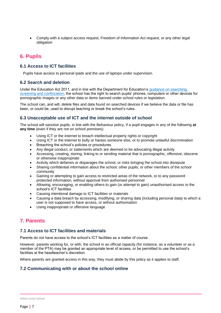• Comply with a subject access request, Freedom of Information Act request, or any other legal obligation

# <span id="page-6-0"></span>**6. Pupils**

## **6.1 Access to ICT facilities**

Pupils have access to personal ipads and the use of laptops under supervision.

## **6.2 Search and deletion**

Under the Education Act 2011, and in line with the Department for Education's [guidance on searching,](https://www.gov.uk/government/publications/searching-screening-and-confiscation)  [screening and confiscation,](https://www.gov.uk/government/publications/searching-screening-and-confiscation) the school has the right to search pupils' phones, computers or other devices for pornographic images or any other data or items banned under school rules or legislation.

The school can, and will, delete files and data found on searched devices if we believe the data or file has been, or could be, used to disrupt teaching or break the school's rules.

## **6.3 Unacceptable use of ICT and the internet outside of school**

The school will sanction pupils, in line with the Behaviour policy, if a pupil engages in any of the following **at any time** (even if they are not on school premises):

- Using ICT or the internet to breach intellectual property rights or copyright
- Using ICT or the internet to bully or harass someone else, or to promote unlawful discrimination
- Breaching the school's policies or procedures
- Any illegal conduct, or statements which are deemed to be advocating illegal activity
- Accessing, creating, storing, linking to or sending material that is pornographic, offensive, obscene or otherwise inappropriate
- Activity which defames or disparages the school, or risks bringing the school into disrepute
- Sharing confidential information about the school, other pupils, or other members of the school community
- Gaining or attempting to gain access to restricted areas of the network, or to any password protected information, without approval from authorised personnel
- Allowing, encouraging, or enabling others to gain (or attempt to gain) unauthorised access to the school's ICT facilities
- Causing intentional damage to ICT facilities or materials
- Causing a data breach by accessing, modifying, or sharing data (including personal data) to which a user is not supposed to have access, or without authorisation
- Using inappropriate or offensive language

# <span id="page-6-1"></span>**7. Parents**

#### **7.1 Access to ICT facilities and materials**

Parents do not have access to the school's ICT facilities as a matter of course.

However, parents working for, or with, the school in an official capacity (for instance, as a volunteer or as a member of the PTA) may be granted an appropriate level of access, or be permitted to use the school's facilities at the headteacher's discretion.

Where parents are granted access in this way, they must abide by this policy as it applies to staff.

# **7.2 Communicating with or about the school online**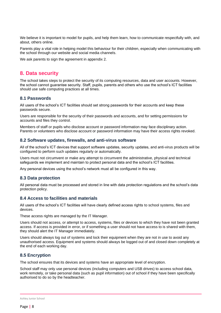We believe it is important to model for pupils, and help them learn, how to communicate respectfully with, and about, others online.

Parents play a vital role in helping model this behaviour for their children, especially when communicating with the school through our website and social media channels.

We ask parents to sign the agreement in appendix 2.

# <span id="page-7-0"></span>**8. Data security**

The school takes steps to protect the security of its computing resources, data and user accounts. However, the school cannot guarantee security. Staff, pupils, parents and others who use the school's ICT facilities should use safe computing practices at all times.

#### **8.1 Passwords**

All users of the school's ICT facilities should set strong passwords for their accounts and keep these passwords secure.

Users are responsible for the security of their passwords and accounts, and for setting permissions for accounts and files they control.

Members of staff or pupils who disclose account or password information may face disciplinary action. Parents or volunteers who disclose account or password information may have their access rights revoked.

#### **8.2 Software updates, firewalls, and anti-virus software**

All of the school's ICT devices that support software updates, security updates, and anti-virus products will be configured to perform such updates regularly or automatically.

Users must not circumvent or make any attempt to circumvent the administrative, physical and technical safeguards we implement and maintain to protect personal data and the school's ICT facilities.

Any personal devices using the school's network must all be configured in this way.

#### **8.3 Data protection**

All personal data must be processed and stored in line with data protection regulations and the school's data protection policy.

#### **8.4 Access to facilities and materials**

All users of the school's ICT facilities will have clearly defined access rights to school systems, files and devices.

These access rights are managed by the IT Manager.

Users should not access, or attempt to access, systems, files or devices to which they have not been granted access. If access is provided in error, or if something a user should not have access to is shared with them, they should alert the IT Manager immediately.

Users should always log out of systems and lock their equipment when they are not in use to avoid any unauthorised access. Equipment and systems should always be logged out of and closed down completely at the end of each working day.

#### **8.5 Encryption**

The school ensures that its devices and systems have an appropriate level of encryption.

School staff may only use personal devices (including computers and USB drives) to access school data, work remotely, or take personal data (such as pupil information) out of school if they have been specifically authorised to do so by the headteacher.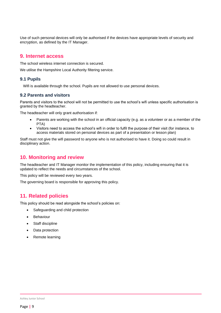Use of such personal devices will only be authorised if the devices have appropriate levels of security and encryption, as defined by the IT Manager.

# <span id="page-8-0"></span>**9. Internet access**

The school wireless internet connection is secured.

We utilise the Hampshire Local Authority filtering service.

## **9.1 Pupils**

Wifi is available through the school. Pupils are not allowed to use personal devices.

#### **9.2 Parents and visitors**

Parents and visitors to the school will not be permitted to use the school's wifi unless specific authorisation is granted by the headteacher.

The headteacher will only grant authorisation if:

- Parents are working with the school in an official capacity (e.g. as a volunteer or as a member of the PTA)
- Visitors need to access the school's wifi in order to fulfil the purpose of their visit (for instance, to access materials stored on personal devices as part of a presentation or lesson plan)

Staff must not give the wifi password to anyone who is not authorised to have it. Doing so could result in disciplinary action.

# <span id="page-8-1"></span>**10. Monitoring and review**

The headteacher and IT Manager monitor the implementation of this policy, including ensuring that it is updated to reflect the needs and circumstances of the school.

This policy will be reviewed every two years.

The governing board is responsible for approving this policy.

# <span id="page-8-2"></span>**11. Related policies**

This policy should be read alongside the school's policies on:

- Safeguarding and child protection
- **Behaviour**
- Staff discipline
- Data protection
- Remote learning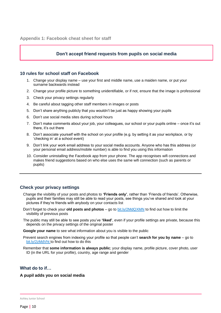# **Don't accept friend requests from pupils on social media**

#### <span id="page-9-0"></span>**10 rules for school staff on Facebook**

- 1. Change your display name use your first and middle name, use a maiden name, or put your surname backwards instead
- 2. Change your profile picture to something unidentifiable, or if not, ensure that the image is professional
- 3. Check your privacy settings regularly
- 4. Be careful about tagging other staff members in images or posts
- 5. Don't share anything publicly that you wouldn't be just as happy showing your pupils
- 6. Don't use social media sites during school hours
- 7. Don't make comments about your job, your colleagues, our school or your pupils online once it's out there, it's out there
- 8. Don't associate yourself with the school on your profile (e.g. by setting it as your workplace, or by 'checking in' at a school event)
- 9. Don't link your work email address to your social media accounts. Anyone who has this address (or your personal email address/mobile number) is able to find you using this information
- 10. Consider uninstalling the Facebook app from your phone. The app recognises wifi connections and makes friend suggestions based on who else uses the same wifi connection (such as parents or pupils)

# **Check your privacy settings**

- Change the visibility of your posts and photos to **'Friends only'**, rather than 'Friends of friends'. Otherwise, pupils and their families may still be able to read your posts, see things you've shared and look at your pictures if they're friends with anybody on your contacts list
- Don't forget to check your **old posts and photos** go to [bit.ly/2MdQXMN](https://www.facebook.com/help/iphone-app/236898969688346?helpref=uf_permalink) to find out how to limit the visibility of previous posts
- The public may still be able to see posts you've **'liked'**, even if your profile settings are private, because this depends on the privacy settings of the original poster
- **Google your name** to see what information about you is visible to the public
- Prevent search engines from indexing your profile so that people can't **search for you by name** go to [bit.ly/2zMdVht t](https://www.facebook.com/help/124518907626945?helpref=faq_content)o find out how to do this
- Remember that **some information is always public**; your display name, profile picture, cover photo, user ID (in the URL for your profile), country, age range and gender

## **What do to if…**

#### **A pupil adds you on social media**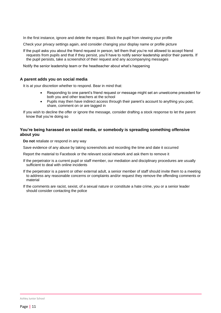In the first instance, ignore and delete the request. Block the pupil from viewing your profile

Check your privacy settings again, and consider changing your display name or profile picture

If the pupil asks you about the friend request in person, tell them that you're not allowed to accept friend requests from pupils and that if they persist, you'll have to notify senior leadership and/or their parents. If the pupil persists, take a screenshot of their request and any accompanying messages

Notify the senior leadership team or the headteacher about what's happening

#### **A parent adds you on social media**

It is at your discretion whether to respond. Bear in mind that:

- Responding to one parent's friend request or message might set an unwelcome precedent for both you and other teachers at the school
- Pupils may then have indirect access through their parent's account to anything you post, share, comment on or are tagged in

If you wish to decline the offer or ignore the message, consider drafting a stock response to let the parent know that you're doing so

#### **You're being harassed on social media, or somebody is spreading something offensive about you**

**Do not** retaliate or respond in any way

Save evidence of any abuse by taking screenshots and recording the time and date it occurred

Report the material to Facebook or the relevant social network and ask them to remove it

- If the perpetrator is a current pupil or staff member, our mediation and disciplinary procedures are usually sufficient to deal with online incidents
- If the perpetrator is a parent or other external adult, a senior member of staff should invite them to a meeting to address any reasonable concerns or complaints and/or request they remove the offending comments or material
- If the comments are racist, sexist, of a sexual nature or constitute a hate crime, you or a senior leader should consider contacting the police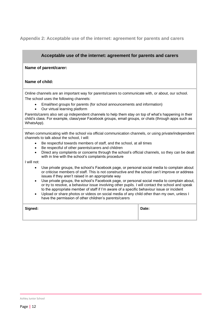# <span id="page-11-0"></span>**Appendix 2: Acceptable use of the internet: agreement for parents and carers**

| Acceptable use of the internet: agreement for parents and carers                                                                                                                                                                                                                                          |       |  |
|-----------------------------------------------------------------------------------------------------------------------------------------------------------------------------------------------------------------------------------------------------------------------------------------------------------|-------|--|
| Name of parent/carer:                                                                                                                                                                                                                                                                                     |       |  |
| Name of child:                                                                                                                                                                                                                                                                                            |       |  |
| Online channels are an important way for parents/carers to communicate with, or about, our school.                                                                                                                                                                                                        |       |  |
| The school uses the following channels:                                                                                                                                                                                                                                                                   |       |  |
| Email/text groups for parents (for school announcements and information)<br>Our virtual learning platform                                                                                                                                                                                                 |       |  |
| Parents/carers also set up independent channels to help them stay on top of what's happening in their<br>child's class. For example, class/year Facebook groups, email groups, or chats (through apps such as<br>WhatsApp).                                                                               |       |  |
| When communicating with the school via official communication channels, or using private/independent<br>channels to talk about the school, I will:                                                                                                                                                        |       |  |
| Be respectful towards members of staff, and the school, at all times<br>$\bullet$                                                                                                                                                                                                                         |       |  |
| Be respectful of other parents/carers and children                                                                                                                                                                                                                                                        |       |  |
| Direct any complaints or concerns through the school's official channels, so they can be dealt<br>with in line with the school's complaints procedure                                                                                                                                                     |       |  |
| I will not:                                                                                                                                                                                                                                                                                               |       |  |
| Use private groups, the school's Facebook page, or personal social media to complain about<br>or criticise members of staff. This is not constructive and the school can't improve or address<br>issues if they aren't raised in an appropriate way                                                       |       |  |
| Use private groups, the school's Facebook page, or personal social media to complain about,<br>$\bullet$<br>or try to resolve, a behaviour issue involving other pupils. I will contact the school and speak<br>to the appropriate member of staff if I'm aware of a specific behaviour issue or incident |       |  |
| Upload or share photos or videos on social media of any child other than my own, unless I<br>have the permission of other children's parents/carers                                                                                                                                                       |       |  |
| Signed:                                                                                                                                                                                                                                                                                                   | Date: |  |
|                                                                                                                                                                                                                                                                                                           |       |  |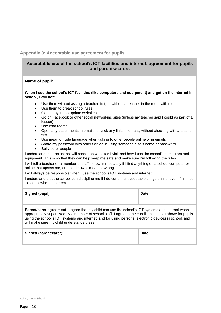# <span id="page-12-0"></span>**Appendix 3: Acceptable use agreement for pupils**

# **Acceptable use of the school's ICT facilities and internet: agreement for pupils and parents/carers**

#### **Name of pupil:**

#### **When I use the school's ICT facilities (like computers and equipment) and get on the internet in school, I will not:**

- Use them without asking a teacher first, or without a teacher in the room with me
- Use them to break school rules
- Go on any inappropriate websites
- Go on Facebook or other social networking sites (unless my teacher said I could as part of a lesson)
- Use chat rooms
- Open any attachments in emails, or click any links in emails, without checking with a teacher first
- Use mean or rude language when talking to other people online or in emails
- Share my password with others or log in using someone else's name or password
- Bully other people

I understand that the school will check the websites I visit and how I use the school's computers and equipment. This is so that they can help keep me safe and make sure I'm following the rules.

I will tell a teacher or a member of staff I know immediately if I find anything on a school computer or online that upsets me, or that I know is mean or wrong.

I will always be responsible when I use the school's ICT systems and internet.

I understand that the school can discipline me if I do certain unacceptable things online, even if I'm not in school when I do them.

| Signed (pupil):                                                                                         | Date: |
|---------------------------------------------------------------------------------------------------------|-------|
| <b>Parant/carer agreement:</b> I garee that my child can use the school's ICT systems and internet when |       |

**er agreement:** I agree that my child can use the school's ICT systems and internet when appropriately supervised by a member of school staff. I agree to the conditions set out above for pupils using the school's ICT systems and internet, and for using personal electronic devices in school, and will make sure my child understands these.

| Signed (parent/carer): | Date: |
|------------------------|-------|
|                        |       |

Ashley Junior School